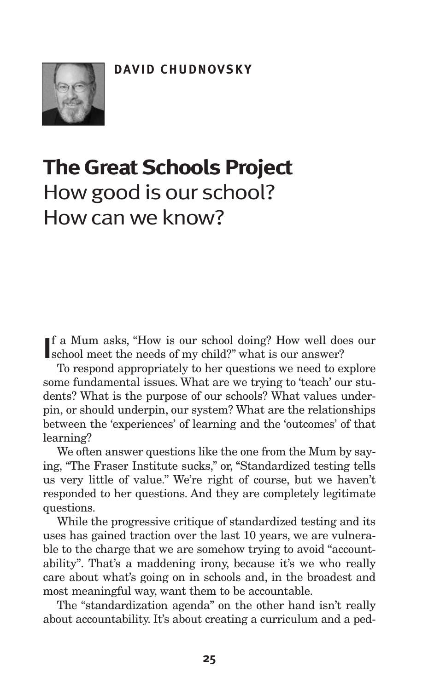

# **The Great Schools Project** Howgood is our school? Howcanwe know?

If a Mum asks, "How is our school doing? How well downshool meet the needs of my child?" what is our answer? f a Mum asks, "How is our school doing? How well does our

To respond appropriately to her questions we need to explore some fundamental issues. What are we trying to 'teach' our students? What is the purpose of our schools? What values underpin, or should underpin, our system? What are the relationships between the 'experiences' of learning and the 'outcomes' of that learning?

We often answer questions like the one from the Mum by saying, "The Fraser Institute sucks," or, "Standardized testing tells us very little of value." We're right of course, but we haven't responded to her questions. And they are completely legitimate questions.

While the progressive critique of standardized testing and its uses has gained traction over the last 10 years, we are vulnerable to the charge that we are somehow trying to avoid "accountability". That's a maddening irony, because it's we who really care about what's going on in schools and, in the broadest and most meaningful way, want them to be accountable.

The "standardization agenda" on the other hand isn't really about accountability. It's about creating a curriculum and a ped-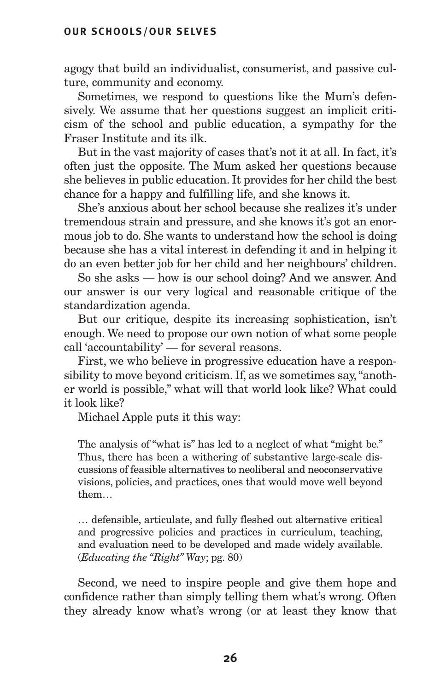agogy that build an individualist, consumerist, and passive culture, community and economy.

Sometimes, we respond to questions like the Mum's defensively. We assume that her questions suggest an implicit criticism of the school and public education, a sympathy for the Fraser Institute and its ilk.

But in the vast majority of cases that's not it at all. In fact, it's often just the opposite. The Mum asked her questions because she believes in public education. It provides for her child the best chance for a happy and fulfilling life, and she knows it.

She's anxious about her school because she realizes it's under tremendous strain and pressure, and she knows it's got an enormous job to do. She wants to understand how the school is doing because she has a vital interest in defending it and in helping it do an even better job for her child and her neighbours' children.

So she asks — how is our school doing? And we answer. And our answer is our very logical and reasonable critique of the standardization agenda.

But our critique, despite its increasing sophistication, isn't enough. We need to propose our own notion of what some people call 'accountability' — for several reasons.

First, we who believe in progressive education have a responsibility to move beyond criticism. If, as we sometimes say,"another world is possible," what will that world look like? What could it look like?

Michael Apple puts it this way:

The analysis of "what is" has led to a neglect of what "might be." Thus, there has been a withering of substantive large-scale discussions of feasible alternatives to neoliberal and neoconservative visions, policies, and practices, ones that would move well beyond them…

… defensible, articulate, and fully fleshed out alternative critical and progressive policies and practices in curriculum, teaching, and evaluation need to be developed and made widely available. (*Educating the "Right" Way*; pg. 80)

Second, we need to inspire people and give them hope and confidence rather than simply telling them what's wrong. Often they already know what's wrong (or at least they know that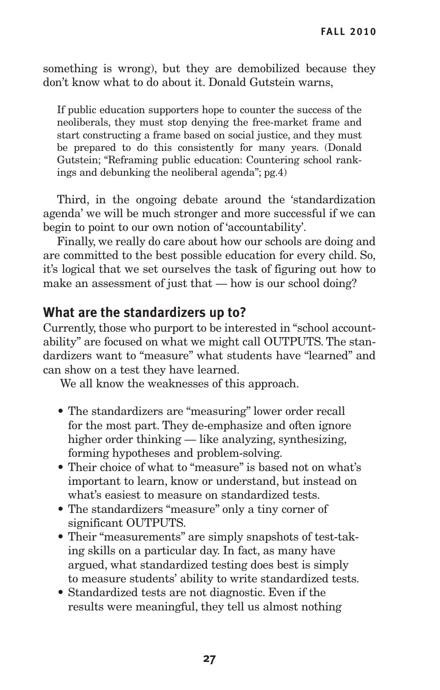something is wrong), but they are demobilized because they don't know what to do about it. Donald Gutstein warns,

If public education supporters hope to counter the success of the neoliberals, they must stop denying the free-market frame and start constructing a frame based on social justice, and they must be prepared to do this consistently for many years. (Donald Gutstein; "Reframing public education: Countering school rankings and debunking the neoliberal agenda"; pg.4)

Third, in the ongoing debate around the 'standardization agenda' we will be much stronger and more successful if we can begin to point to our own notion of 'accountability'.

Finally, we really do care about how our schools are doing and are committed to the best possible education for every child. So, it's logical that we set ourselves the task of figuring out how to make an assessment of just that — how is our school doing?

# **What are the standardizers up to?**

Currently, those who purport to be interested in "school accountability" are focused on what we might call OUTPUTS. The standardizers want to "measure" what students have "learned" and can show on a test they have learned.

We all know the weaknesses of this approach.

- The standardizers are "measuring" lower order recall for the most part. They de-emphasize and often ignore higher order thinking — like analyzing, synthesizing, forming hypotheses and problem-solving.
- Their choice of what to "measure" is based not on what's important to learn, know or understand, but instead on what's easiest to measure on standardized tests.
- The standardizers "measure" only a tiny corner of significant OUTPUTS.
- Their "measurements" are simply snapshots of test-taking skills on a particular day. In fact, as many have argued, what standardized testing does best is simply to measure students' ability to write standardized tests.
- Standardized tests are not diagnostic. Even if the results were meaningful, they tell us almost nothing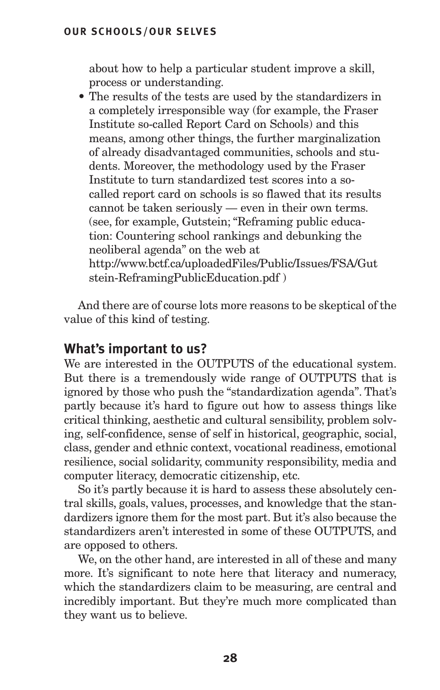about how to help a particular student improve a skill, process or understanding.

• The results of the tests are used by the standardizers in a completely irresponsible way (for example, the Fraser Institute so-called Report Card on Schools) and this means, among other things, the further marginalization of already disadvantaged communities, schools and students. Moreover, the methodology used by the Fraser Institute to turn standardized test scores into a socalled report card on schools is so flawed that its results cannot be taken seriously — even in their own terms. (see, for example, Gutstein; "Reframing public education: Countering school rankings and debunking the neoliberal agenda" on the web at http://www.bctf.ca/uploadedFiles/Public/Issues/FSA/Gut stein-ReframingPublicEducation.pdf )

And there are of course lots more reasons to be skeptical of the value of this kind of testing.

## **What's important to us?**

We are interested in the OUTPUTS of the educational system. But there is a tremendously wide range of OUTPUTS that is ignored by those who push the "standardization agenda". That's partly because it's hard to figure out how to assess things like critical thinking, aesthetic and cultural sensibility, problem solving, self-confidence, sense of self in historical, geographic, social, class, gender and ethnic context, vocational readiness, emotional resilience, social solidarity, community responsibility, media and computer literacy, democratic citizenship, etc.

So it's partly because it is hard to assess these absolutely central skills, goals, values, processes, and knowledge that the standardizers ignore them for the most part. But it's also because the standardizers aren't interested in some of these OUTPUTS, and are opposed to others.

We, on the other hand, are interested in all of these and many more. It's significant to note here that literacy and numeracy, which the standardizers claim to be measuring, are central and incredibly important. But they're much more complicated than they want us to believe.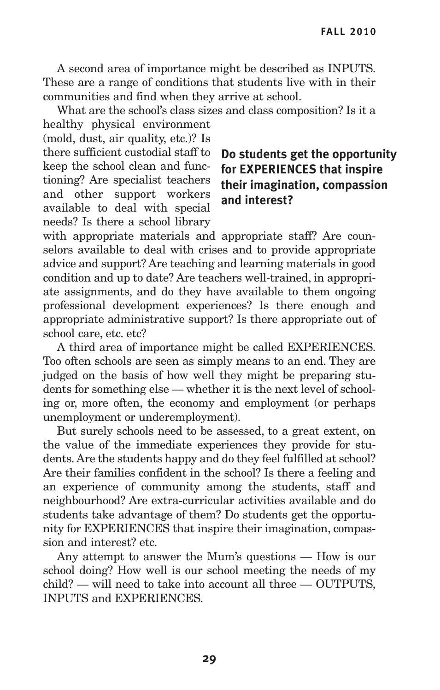A second area of importance might be described as INPUTS. These are a range of conditions that students live with in their communities and find when they arrive at school.

What are the school's class sizes and class composition? Is it a healthy physical environment

(mold, dust, air quality, etc.)? Is there sufficient custodial staff to keep the school clean and functioning? Are specialist teachers and other support workers available to deal with special needs? Is there a school library

# **Do students get the opportunity for EXPERIENCES that inspire their imagination, compassion and interest?**

with appropriate materials and appropriate staff? Are counselors available to deal with crises and to provide appropriate advice and support? Are teaching and learning materials in good condition and up to date? Are teachers well-trained, in appropriate assignments, and do they have available to them ongoing professional development experiences? Is there enough and appropriate administrative support? Is there appropriate out of school care, etc. etc?

A third area of importance might be called EXPERIENCES. Too often schools are seen as simply means to an end. They are judged on the basis of how well they might be preparing students for something else — whether it is the next level of schooling or, more often, the economy and employment (or perhaps unemployment or underemployment).

But surely schools need to be assessed, to a great extent, on the value of the immediate experiences they provide for students. Are the students happy and do they feel fulfilled at school? Are their families confident in the school? Is there a feeling and an experience of community among the students, staff and neighbourhood? Are extra-curricular activities available and do students take advantage of them? Do students get the opportunity for EXPERIENCES that inspire their imagination, compassion and interest? etc.

Any attempt to answer the Mum's questions — How is our school doing? How well is our school meeting the needs of my child? — will need to take into account all three — OUTPUTS, INPUTS and EXPERIENCES.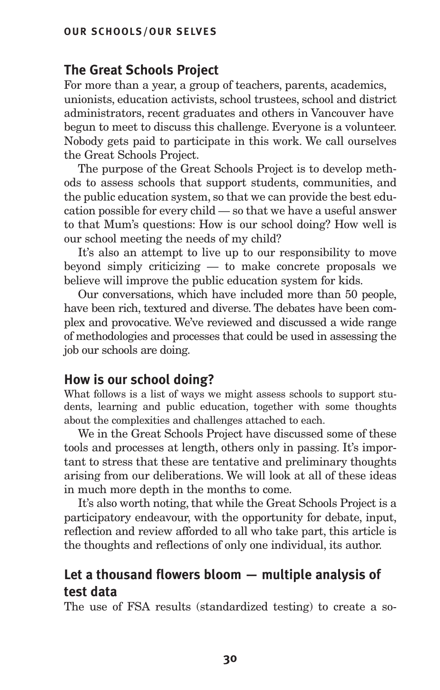# **The Great Schools Project**

For more than a year, a group of teachers, parents, academics, unionists, education activists, school trustees, school and district administrators, recent graduates and others in Vancouver have begun to meet to discuss this challenge. Everyone is a volunteer. Nobody gets paid to participate in this work. We call ourselves the Great Schools Project.

The purpose of the Great Schools Project is to develop methods to assess schools that support students, communities, and the public education system, so that we can provide the best education possible for every child — so that we have a useful answer to that Mum's questions: How is our school doing? How well is our school meeting the needs of my child?

It's also an attempt to live up to our responsibility to move beyond simply criticizing — to make concrete proposals we believe will improve the public education system for kids.

Our conversations, which have included more than 50 people, have been rich, textured and diverse. The debates have been complex and provocative. We've reviewed and discussed a wide range of methodologies and processes that could be used in assessing the job our schools are doing.

## **How is our school doing?**

What follows is a list of ways we might assess schools to support students, learning and public education, together with some thoughts about the complexities and challenges attached to each.

We in the Great Schools Project have discussed some of these tools and processes at length, others only in passing. It's important to stress that these are tentative and preliminary thoughts arising from our deliberations. We will look at all of these ideas in much more depth in the months to come.

It's also worth noting, that while the Great Schools Project is a participatory endeavour, with the opportunity for debate, input, reflection and review afforded to all who take part, this article is the thoughts and reflections of only one individual, its author.

# **Let a thousand flowers bloom — multiple analysis of test data**

The use of FSA results (standardized testing) to create a so-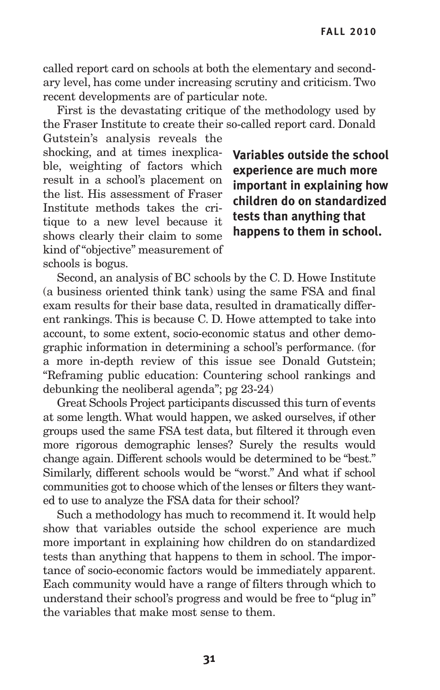called report card on schools at both the elementary and secondary level, has come under increasing scrutiny and criticism. Two recent developments are of particular note.

First is the devastating critique of the methodology used by the Fraser Institute to create their so-called report card. Donald Gutstein's analysis reveals the

shocking, and at times inexplicable, weighting of factors which result in a school's placement on the list. His assessment of Fraser Institute methods takes the critique to a new level because it shows clearly their claim to some kind of "objective" measurement of schools is bogus.

**Variables outside the school experience are much more important in explaining how children do on standardized tests than anything that happens to them in school.**

Second, an analysis of BC schools by the C. D. Howe Institute (a business oriented think tank) using the same FSA and final exam results for their base data, resulted in dramatically different rankings. This is because C. D. Howe attempted to take into account, to some extent, socio-economic status and other demographic information in determining a school's performance. (for a more in-depth review of this issue see Donald Gutstein; "Reframing public education: Countering school rankings and debunking the neoliberal agenda"; pg 23-24)

Great Schools Project participants discussed this turn of events at some length. What would happen, we asked ourselves, if other groups used the same FSA test data, but filtered it through even more rigorous demographic lenses? Surely the results would change again. Different schools would be determined to be "best." Similarly, different schools would be "worst." And what if school communities got to choose which of the lenses or filters they wanted to use to analyze the FSA data for their school?

Such a methodology has much to recommend it. It would help show that variables outside the school experience are much more important in explaining how children do on standardized tests than anything that happens to them in school. The importance of socio-economic factors would be immediately apparent. Each community would have a range of filters through which to understand their school's progress and would be free to "plug in" the variables that make most sense to them.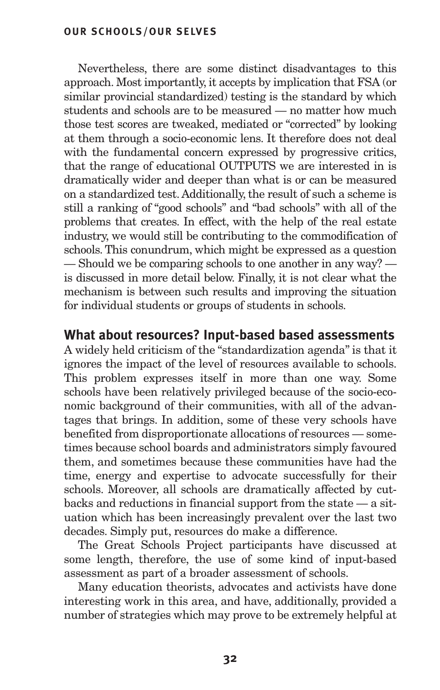Nevertheless, there are some distinct disadvantages to this approach. Most importantly, it accepts by implication that FSA (or similar provincial standardized) testing is the standard by which students and schools are to be measured — no matter how much those test scores are tweaked, mediated or "corrected" by looking at them through a socio-economic lens. It therefore does not deal with the fundamental concern expressed by progressive critics, that the range of educational OUTPUTS we are interested in is dramatically wider and deeper than what is or can be measured on a standardized test. Additionally, the result of such a scheme is still a ranking of "good schools" and "bad schools" with all of the problems that creates. In effect, with the help of the real estate industry, we would still be contributing to the commodification of schools.This conundrum, which might be expressed as a question — Should we be comparing schools to one another in any way? is discussed in more detail below. Finally, it is not clear what the mechanism is between such results and improving the situation for individual students or groups of students in schools.

## **What about resources? Input-based based assessments**

A widely held criticism of the "standardization agenda" is that it ignores the impact of the level of resources available to schools. This problem expresses itself in more than one way. Some schools have been relatively privileged because of the socio-economic background of their communities, with all of the advantages that brings. In addition, some of these very schools have benefited from disproportionate allocations of resources — sometimes because school boards and administrators simply favoured them, and sometimes because these communities have had the time, energy and expertise to advocate successfully for their schools. Moreover, all schools are dramatically affected by cutbacks and reductions in financial support from the state — a situation which has been increasingly prevalent over the last two decades. Simply put, resources do make a difference.

The Great Schools Project participants have discussed at some length, therefore, the use of some kind of input-based assessment as part of a broader assessment of schools.

Many education theorists, advocates and activists have done interesting work in this area, and have, additionally, provided a number of strategies which may prove to be extremely helpful at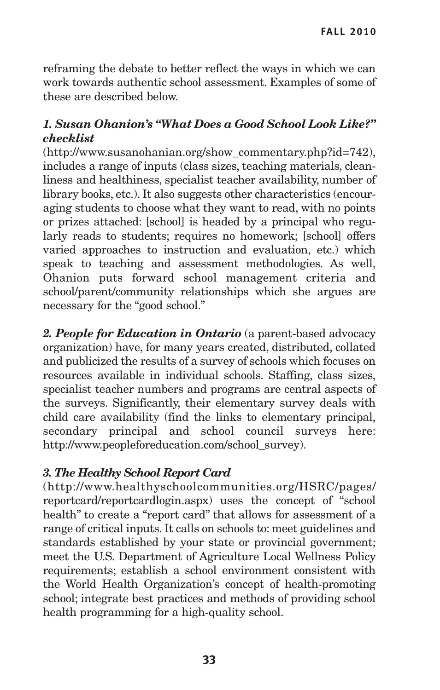reframing the debate to better reflect the ways in which we can work towards authentic school assessment. Examples of some of these are described below.

## *1. Susan Ohanion's "What Does a Good School Look Like?" checklist*

(http://www.susanohanian.org/show\_commentary.php?id=742), includes a range of inputs (class sizes, teaching materials, cleanliness and healthiness, specialist teacher availability, number of library books, etc.). It also suggests other characteristics (encouraging students to choose what they want to read, with no points or prizes attached: [school] is headed by a principal who regularly reads to students; requires no homework; [school] offers varied approaches to instruction and evaluation, etc.) which speak to teaching and assessment methodologies. As well, Ohanion puts forward school management criteria and school/parent/community relationships which she argues are necessary for the "good school."

*2. People for Education in Ontario* (a parent-based advocacy organization) have, for many years created, distributed, collated and publicized the results of a survey of schools which focuses on resources available in individual schools. Staffing, class sizes, specialist teacher numbers and programs are central aspects of the surveys. Significantly, their elementary survey deals with child care availability (find the links to elementary principal, secondary principal and school council surveys here: http://www.peopleforeducation.com/school\_survey).

## *3. The Healthy School Report Card*

(http://www.healthyschoolcommunities.org/HSRC/pages/ reportcard/reportcardlogin.aspx) uses the concept of "school health" to create a "report card" that allows for assessment of a range of critical inputs. It calls on schools to: meet guidelines and standards established by your state or provincial government; meet the U.S. Department of Agriculture Local Wellness Policy requirements; establish a school environment consistent with the World Health Organization's concept of health-promoting school; integrate best practices and methods of providing school health programming for a high-quality school.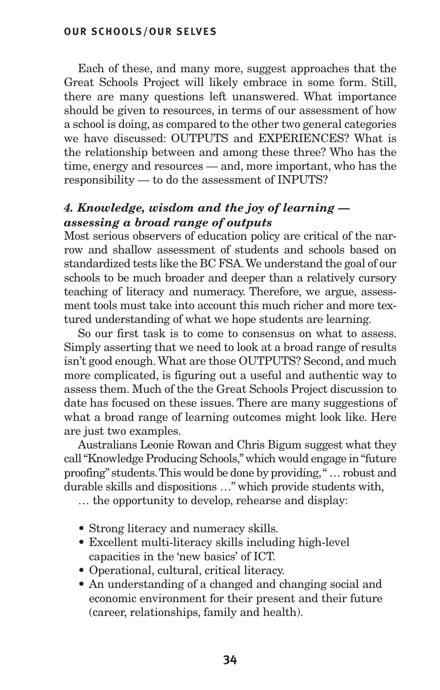Each of these, and many more, suggest approaches that the Great Schools Project will likely embrace in some form. Still, there are many questions left unanswered. What importance should be given to resources, in terms of our assessment of how a school is doing, as compared to the other two general categories we have discussed: OUTPUTS and EXPERIENCES? What is the relationship between and among these three? Who has the time, energy and resources — and, more important, who has the responsibility — to do the assessment of INPUTS?

# *4. Knowledge, wisdom and the joy of learning assessing a broad range of outputs*

Most serious observers of education policy are critical of the narrow and shallow assessment of students and schools based on standardized tests like the BC FSA.We understand the goal of our schools to be much broader and deeper than a relatively cursory teaching of literacy and numeracy. Therefore, we argue, assessment tools must take into account this much richer and more textured understanding of what we hope students are learning.

So our first task is to come to consensus on what to assess. Simply asserting that we need to look at a broad range of results isn't good enough.What are those OUTPUTS? Second, and much more complicated, is figuring out a useful and authentic way to assess them. Much of the the Great Schools Project discussion to date has focused on these issues. There are many suggestions of what a broad range of learning outcomes might look like. Here are just two examples.

Australians Leonie Rowan and Chris Bigum suggest what they call"Knowledge Producing Schools,"which would engage in"future proofing" students.This would be done by providing," … robust and durable skills and dispositions …" which provide students with,

… the opportunity to develop, rehearse and display:

- Strong literacy and numeracy skills.
- Excellent multi-literacy skills including high-level capacities in the 'new basics' of ICT.
- Operational, cultural, critical literacy.
- An understanding of a changed and changing social and economic environment for their present and their future (career, relationships, family and health).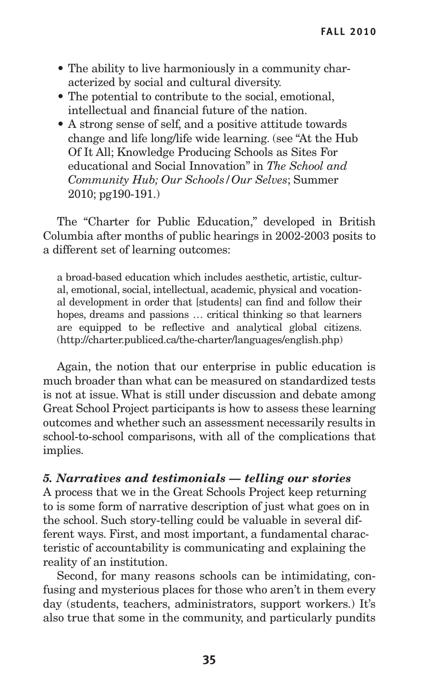- The ability to live harmoniously in a community characterized by social and cultural diversity.
- The potential to contribute to the social, emotional, intellectual and financial future of the nation.
- A strong sense of self, and a positive attitude towards change and life long/life wide learning. (see "At the Hub Of It All; Knowledge Producing Schools as Sites For educational and Social Innovation" in *The School and Community Hub; Our Schools/Our Selves*; Summer 2010; pg190-191.)

The "Charter for Public Education," developed in British Columbia after months of public hearings in 2002-2003 posits to a different set of learning outcomes:

a broad-based education which includes aesthetic, artistic, cultural, emotional, social, intellectual, academic, physical and vocational development in order that [students] can find and follow their hopes, dreams and passions ... critical thinking so that learners are equipped to be reflective and analytical global citizens. (http://charter.publiced.ca/the-charter/languages/english.php)

Again, the notion that our enterprise in public education is much broader than what can be measured on standardized tests is not at issue. What is still under discussion and debate among Great School Project participants is how to assess these learning outcomes and whether such an assessment necessarily results in school-to-school comparisons, with all of the complications that implies.

## *5. Narratives and testimonials — telling our stories*

A process that we in the Great Schools Project keep returning to is some form of narrative description of just what goes on in the school. Such story-telling could be valuable in several different ways. First, and most important, a fundamental characteristic of accountability is communicating and explaining the reality of an institution.

Second, for many reasons schools can be intimidating, confusing and mysterious places for those who aren't in them every day (students, teachers, administrators, support workers.) It's also true that some in the community, and particularly pundits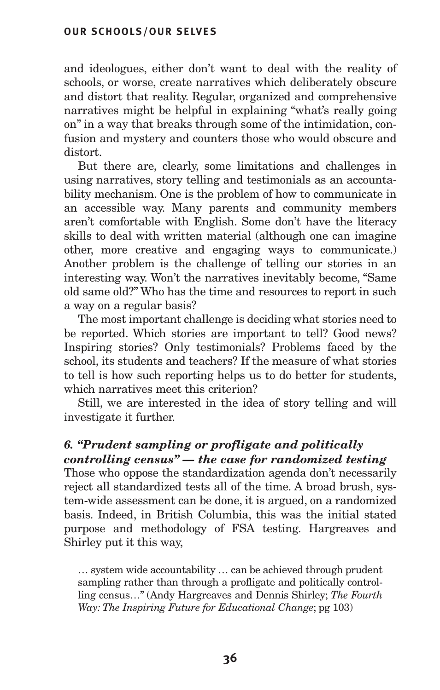and ideologues, either don't want to deal with the reality of schools, or worse, create narratives which deliberately obscure and distort that reality. Regular, organized and comprehensive narratives might be helpful in explaining "what's really going on" in a way that breaks through some of the intimidation, confusion and mystery and counters those who would obscure and distort.

But there are, clearly, some limitations and challenges in using narratives, story telling and testimonials as an accountability mechanism. One is the problem of how to communicate in an accessible way. Many parents and community members aren't comfortable with English. Some don't have the literacy skills to deal with written material (although one can imagine other, more creative and engaging ways to communicate.) Another problem is the challenge of telling our stories in an interesting way. Won't the narratives inevitably become, "Same old same old?" Who has the time and resources to report in such a way on a regular basis?

The most important challenge is deciding what stories need to be reported. Which stories are important to tell? Good news? Inspiring stories? Only testimonials? Problems faced by the school, its students and teachers? If the measure of what stories to tell is how such reporting helps us to do better for students, which narratives meet this criterion?

Still, we are interested in the idea of story telling and will investigate it further.

# *6. "Prudent sampling or profligate and politically*

*controlling census" — the case for randomized testing* Those who oppose the standardization agenda don't necessarily reject all standardized tests all of the time. A broad brush, system-wide assessment can be done, it is argued, on a randomized basis. Indeed, in British Columbia, this was the initial stated purpose and methodology of FSA testing. Hargreaves and Shirley put it this way,

… system wide accountability … can be achieved through prudent sampling rather than through a profligate and politically controlling census…" (Andy Hargreaves and Dennis Shirley; *The Fourth Way: The Inspiring Future for Educational Change*; pg 103)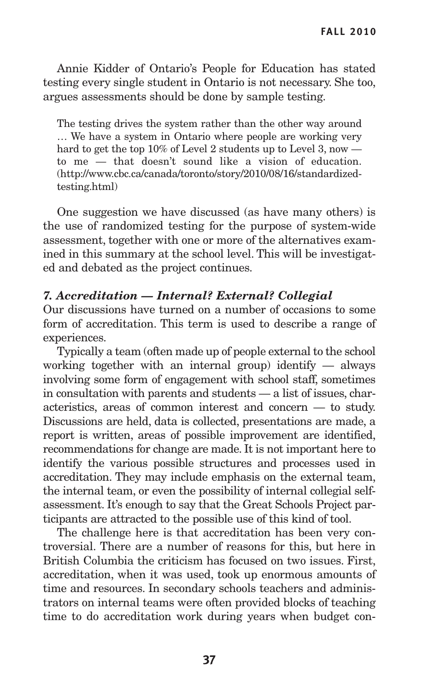Annie Kidder of Ontario's People for Education has stated testing every single student in Ontario is not necessary. She too, argues assessments should be done by sample testing.

The testing drives the system rather than the other way around … We have a system in Ontario where people are working very hard to get the top 10% of Level 2 students up to Level 3, now to me — that doesn't sound like a vision of education. (http://www.cbc.ca/canada/toronto/story/2010/08/16/standardizedtesting.html)

One suggestion we have discussed (as have many others) is the use of randomized testing for the purpose of system-wide assessment, together with one or more of the alternatives examined in this summary at the school level. This will be investigated and debated as the project continues.

## *7. Accreditation — Internal? External? Collegial*

Our discussions have turned on a number of occasions to some form of accreditation. This term is used to describe a range of experiences.

Typically a team (often made up of people external to the school working together with an internal group) identify — always involving some form of engagement with school staff, sometimes in consultation with parents and students — a list of issues, characteristics, areas of common interest and concern — to study. Discussions are held, data is collected, presentations are made, a report is written, areas of possible improvement are identified, recommendations for change are made. It is not important here to identify the various possible structures and processes used in accreditation. They may include emphasis on the external team, the internal team, or even the possibility of internal collegial selfassessment. It's enough to say that the Great Schools Project participants are attracted to the possible use of this kind of tool.

The challenge here is that accreditation has been very controversial. There are a number of reasons for this, but here in British Columbia the criticism has focused on two issues. First, accreditation, when it was used, took up enormous amounts of time and resources. In secondary schools teachers and administrators on internal teams were often provided blocks of teaching time to do accreditation work during years when budget con-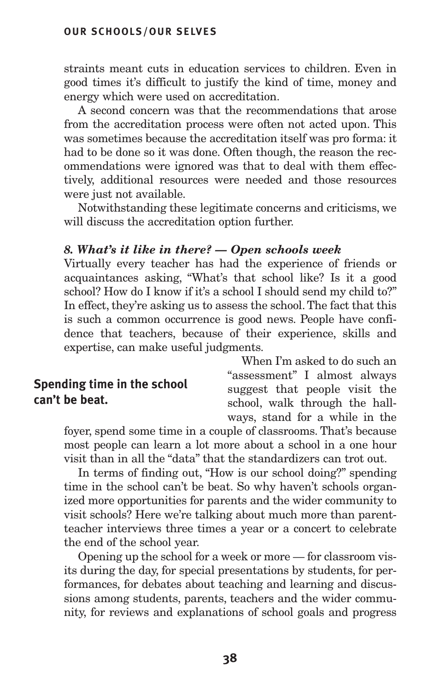straints meant cuts in education services to children. Even in good times it's difficult to justify the kind of time, money and energy which were used on accreditation.

A second concern was that the recommendations that arose from the accreditation process were often not acted upon. This was sometimes because the accreditation itself was pro forma: it had to be done so it was done. Often though, the reason the recommendations were ignored was that to deal with them effectively, additional resources were needed and those resources were just not available.

Notwithstanding these legitimate concerns and criticisms, we will discuss the accreditation option further.

## *8. What's it like in there? — Open schools week*

Virtually every teacher has had the experience of friends or acquaintances asking, "What's that school like? Is it a good school? How do I know if it's a school I should send my child to?" In effect, they're asking us to assess the school. The fact that this is such a common occurrence is good news. People have confidence that teachers, because of their experience, skills and expertise, can make useful judgments.

## **Spending time in the school can't be beat.**

When I'm asked to do such an "assessment" I almost always suggest that people visit the school, walk through the hallways, stand for a while in the

foyer, spend some time in a couple of classrooms. That's because most people can learn a lot more about a school in a one hour visit than in all the "data" that the standardizers can trot out.

In terms of finding out, "How is our school doing?" spending time in the school can't be beat. So why haven't schools organized more opportunities for parents and the wider community to visit schools? Here we're talking about much more than parentteacher interviews three times a year or a concert to celebrate the end of the school year.

Opening up the school for a week or more — for classroom visits during the day, for special presentations by students, for performances, for debates about teaching and learning and discussions among students, parents, teachers and the wider community, for reviews and explanations of school goals and progress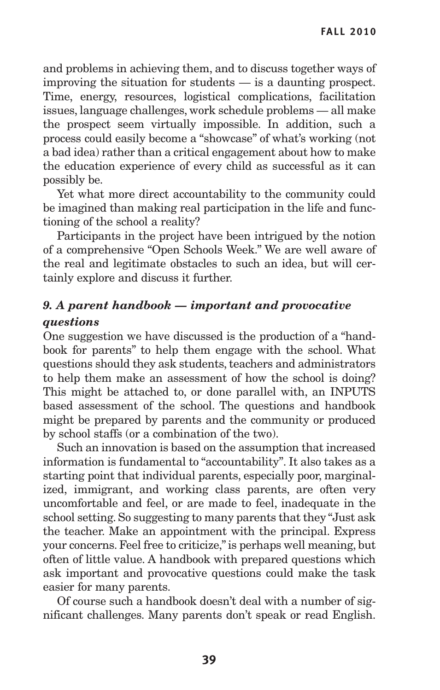and problems in achieving them, and to discuss together ways of improving the situation for students — is a daunting prospect. Time, energy, resources, logistical complications, facilitation issues, language challenges, work schedule problems — all make the prospect seem virtually impossible. In addition, such a process could easily become a "showcase" of what's working (not a bad idea) rather than a critical engagement about how to make the education experience of every child as successful as it can possibly be.

Yet what more direct accountability to the community could be imagined than making real participation in the life and functioning of the school a reality?

Participants in the project have been intrigued by the notion of a comprehensive "Open Schools Week." We are well aware of the real and legitimate obstacles to such an idea, but will certainly explore and discuss it further.

# *9. A parent handbook — important and provocative questions*

One suggestion we have discussed is the production of a "handbook for parents" to help them engage with the school. What questions should they ask students, teachers and administrators to help them make an assessment of how the school is doing? This might be attached to, or done parallel with, an INPUTS based assessment of the school. The questions and handbook might be prepared by parents and the community or produced by school staffs (or a combination of the two).

Such an innovation is based on the assumption that increased information is fundamental to "accountability". It also takes as a starting point that individual parents, especially poor, marginalized, immigrant, and working class parents, are often very uncomfortable and feel, or are made to feel, inadequate in the school setting. So suggesting to many parents that they "Just ask the teacher. Make an appointment with the principal. Express your concerns. Feel free to criticize,"is perhaps well meaning, but often of little value. A handbook with prepared questions which ask important and provocative questions could make the task easier for many parents.

Of course such a handbook doesn't deal with a number of significant challenges. Many parents don't speak or read English.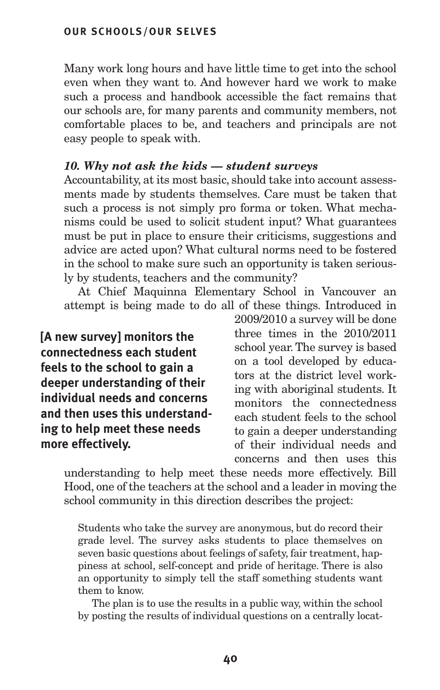Many work long hours and have little time to get into the school even when they want to. And however hard we work to make such a process and handbook accessible the fact remains that our schools are, for many parents and community members, not comfortable places to be, and teachers and principals are not easy people to speak with.

## *10. Why not ask the kids — student surveys*

Accountability, at its most basic, should take into account assessments made by students themselves. Care must be taken that such a process is not simply pro forma or token. What mechanisms could be used to solicit student input? What guarantees must be put in place to ensure their criticisms, suggestions and advice are acted upon? What cultural norms need to be fostered in the school to make sure such an opportunity is taken seriously by students, teachers and the community?

At Chief Maquinna Elementary School in Vancouver an attempt is being made to do all of these things. Introduced in

**[A new survey] monitors the connectedness each student feels to the school to gain a deeper understanding of their individual needs and concerns and then uses this understanding to help meet these needs more effectively.**

2009/2010 a survey will be done three times in the 2010/2011 school year.The survey is based on a tool developed by educators at the district level working with aboriginal students. It monitors the connectedness each student feels to the school to gain a deeper understanding of their individual needs and concerns and then uses this

understanding to help meet these needs more effectively. Bill Hood, one of the teachers at the school and a leader in moving the school community in this direction describes the project:

Students who take the survey are anonymous, but do record their grade level. The survey asks students to place themselves on seven basic questions about feelings of safety, fair treatment, happiness at school, self-concept and pride of heritage. There is also an opportunity to simply tell the staff something students want them to know.

The plan is to use the results in a public way, within the school by posting the results of individual questions on a centrally locat-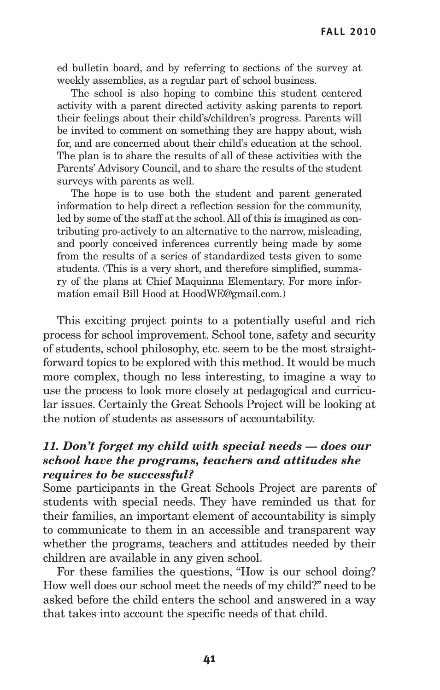ed bulletin board, and by referring to sections of the survey at weekly assemblies, as a regular part of school business.

The school is also hoping to combine this student centered activity with a parent directed activity asking parents to report their feelings about their child's/children's progress. Parents will be invited to comment on something they are happy about, wish for, and are concerned about their child's education at the school. The plan is to share the results of all of these activities with the Parents' Advisory Council, and to share the results of the student surveys with parents as well.

The hope is to use both the student and parent generated information to help direct a reflection session for the community, led by some of the staff at the school.All of this is imagined as contributing pro-actively to an alternative to the narrow, misleading, and poorly conceived inferences currently being made by some from the results of a series of standardized tests given to some students. (This is a very short, and therefore simplified, summary of the plans at Chief Maquinna Elementary. For more information email Bill Hood at HoodWE@gmail.com.)

This exciting project points to a potentially useful and rich process for school improvement. School tone, safety and security of students, school philosophy, etc. seem to be the most straightforward topics to be explored with this method. It would be much more complex, though no less interesting, to imagine a way to use the process to look more closely at pedagogical and curricular issues. Certainly the Great Schools Project will be looking at the notion of students as assessors of accountability.

## *11. Don't forget my child with special needs — does our school have the programs, teachers and attitudes she requires to be successful?*

Some participants in the Great Schools Project are parents of students with special needs. They have reminded us that for their families, an important element of accountability is simply to communicate to them in an accessible and transparent way whether the programs, teachers and attitudes needed by their children are available in any given school.

For these families the questions, "How is our school doing? How well does our school meet the needs of my child?" need to be asked before the child enters the school and answered in a way that takes into account the specific needs of that child.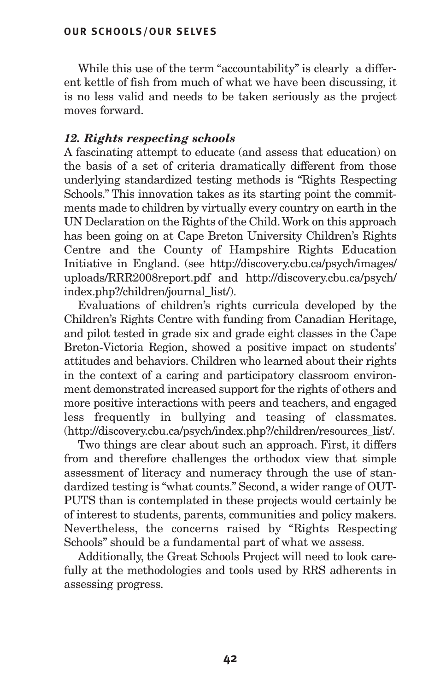While this use of the term "accountability" is clearly a different kettle of fish from much of what we have been discussing, it is no less valid and needs to be taken seriously as the project moves forward.

## *12. Rights respecting schools*

A fascinating attempt to educate (and assess that education) on the basis of a set of criteria dramatically different from those underlying standardized testing methods is "Rights Respecting Schools." This innovation takes as its starting point the commitments made to children by virtually every country on earth in the UN Declaration on the Rights of the Child.Work on this approach has been going on at Cape Breton University Children's Rights Centre and the County of Hampshire Rights Education Initiative in England. (see http://discovery.cbu.ca/psych/images/ uploads/RRR2008report.pdf and http://discovery.cbu.ca/psych/ index.php?/children/journal\_list/).

Evaluations of children's rights curricula developed by the Children's Rights Centre with funding from Canadian Heritage, and pilot tested in grade six and grade eight classes in the Cape Breton-Victoria Region, showed a positive impact on students' attitudes and behaviors. Children who learned about their rights in the context of a caring and participatory classroom environment demonstrated increased support for the rights of others and more positive interactions with peers and teachers, and engaged less frequently in bullying and teasing of classmates. (http://discovery.cbu.ca/psych/index.php?/children/resources\_list/.

Two things are clear about such an approach. First, it differs from and therefore challenges the orthodox view that simple assessment of literacy and numeracy through the use of standardized testing is "what counts." Second, a wider range of OUT-PUTS than is contemplated in these projects would certainly be of interest to students, parents, communities and policy makers. Nevertheless, the concerns raised by "Rights Respecting Schools" should be a fundamental part of what we assess.

Additionally, the Great Schools Project will need to look carefully at the methodologies and tools used by RRS adherents in assessing progress.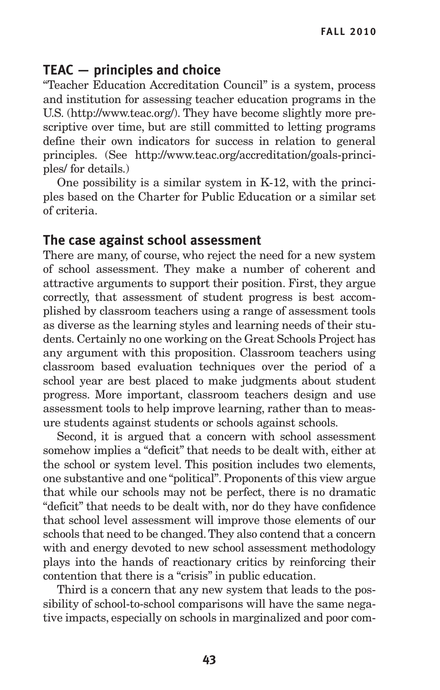# **TEAC — principles and choice**

"Teacher Education Accreditation Council" is a system, process and institution for assessing teacher education programs in the U.S. (http://www.teac.org/). They have become slightly more prescriptive over time, but are still committed to letting programs define their own indicators for success in relation to general principles. (See http://www.teac.org/accreditation/goals-principles/ for details.)

One possibility is a similar system in K-12, with the principles based on the Charter for Public Education or a similar set of criteria.

## **The case against school assessment**

There are many, of course, who reject the need for a new system of school assessment. They make a number of coherent and attractive arguments to support their position. First, they argue correctly, that assessment of student progress is best accomplished by classroom teachers using a range of assessment tools as diverse as the learning styles and learning needs of their students. Certainly no one working on the Great Schools Project has any argument with this proposition. Classroom teachers using classroom based evaluation techniques over the period of a school year are best placed to make judgments about student progress. More important, classroom teachers design and use assessment tools to help improve learning, rather than to measure students against students or schools against schools.

Second, it is argued that a concern with school assessment somehow implies a "deficit" that needs to be dealt with, either at the school or system level. This position includes two elements, one substantive and one "political". Proponents of this view argue that while our schools may not be perfect, there is no dramatic "deficit" that needs to be dealt with, nor do they have confidence that school level assessment will improve those elements of our schools that need to be changed.They also contend that a concern with and energy devoted to new school assessment methodology plays into the hands of reactionary critics by reinforcing their contention that there is a "crisis" in public education.

Third is a concern that any new system that leads to the possibility of school-to-school comparisons will have the same negative impacts, especially on schools in marginalized and poor com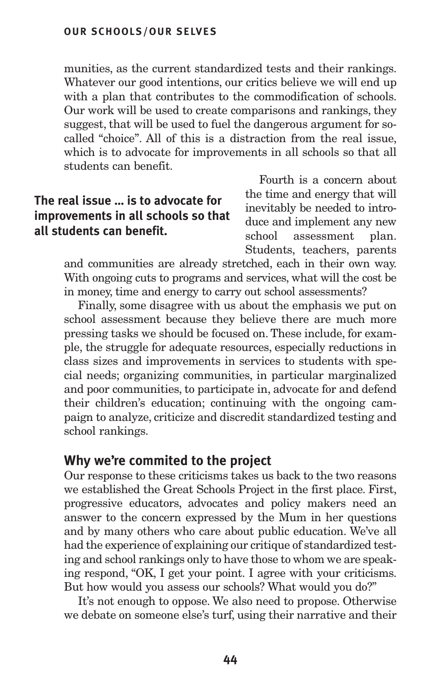munities, as the current standardized tests and their rankings. Whatever our good intentions, our critics believe we will end up with a plan that contributes to the commodification of schools. Our work will be used to create comparisons and rankings, they suggest, that will be used to fuel the dangerous argument for socalled "choice". All of this is a distraction from the real issue, which is to advocate for improvements in all schools so that all students can benefit.

# **The real issue … is to advocate for improvements in all schools so that all students can benefit.**

Fourth is a concern about the time and energy that will inevitably be needed to introduce and implement any new school assessment plan. Students, teachers, parents

and communities are already stretched, each in their own way. With ongoing cuts to programs and services, what will the cost be in money, time and energy to carry out school assessments?

Finally, some disagree with us about the emphasis we put on school assessment because they believe there are much more pressing tasks we should be focused on.These include, for example, the struggle for adequate resources, especially reductions in class sizes and improvements in services to students with special needs; organizing communities, in particular marginalized and poor communities, to participate in, advocate for and defend their children's education; continuing with the ongoing campaign to analyze, criticize and discredit standardized testing and school rankings.

## **Why we're commited to the project**

Our response to these criticisms takes us back to the two reasons we established the Great Schools Project in the first place. First, progressive educators, advocates and policy makers need an answer to the concern expressed by the Mum in her questions and by many others who care about public education. We've all had the experience of explaining our critique of standardized testing and school rankings only to have those to whom we are speaking respond, "OK, I get your point. I agree with your criticisms. But how would you assess our schools? What would you do?"

It's not enough to oppose. We also need to propose. Otherwise we debate on someone else's turf, using their narrative and their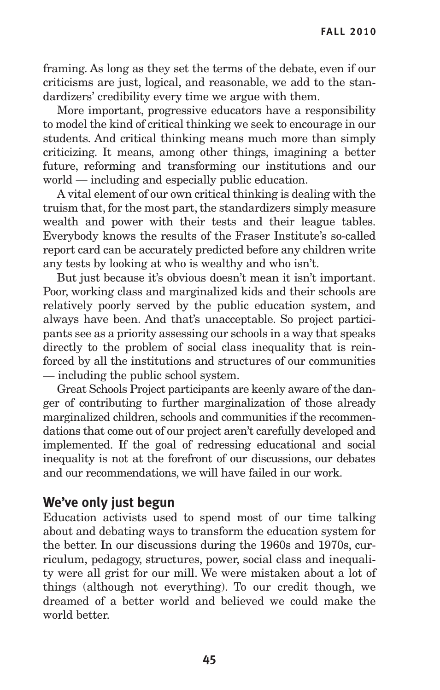framing. As long as they set the terms of the debate, even if our criticisms are just, logical, and reasonable, we add to the standardizers' credibility every time we argue with them.

More important, progressive educators have a responsibility to model the kind of critical thinking we seek to encourage in our students. And critical thinking means much more than simply criticizing. It means, among other things, imagining a better future, reforming and transforming our institutions and our world — including and especially public education.

A vital element of our own critical thinking is dealing with the truism that, for the most part, the standardizers simply measure wealth and power with their tests and their league tables. Everybody knows the results of the Fraser Institute's so-called report card can be accurately predicted before any children write any tests by looking at who is wealthy and who isn't.

But just because it's obvious doesn't mean it isn't important. Poor, working class and marginalized kids and their schools are relatively poorly served by the public education system, and always have been. And that's unacceptable. So project participants see as a priority assessing our schools in a way that speaks directly to the problem of social class inequality that is reinforced by all the institutions and structures of our communities — including the public school system.

Great Schools Project participants are keenly aware of the danger of contributing to further marginalization of those already marginalized children, schools and communities if the recommendations that come out of our project aren't carefully developed and implemented. If the goal of redressing educational and social inequality is not at the forefront of our discussions, our debates and our recommendations, we will have failed in our work.

## **We've only just begun**

Education activists used to spend most of our time talking about and debating ways to transform the education system for the better. In our discussions during the 1960s and 1970s, curriculum, pedagogy, structures, power, social class and inequality were all grist for our mill. We were mistaken about a lot of things (although not everything). To our credit though, we dreamed of a better world and believed we could make the world better.